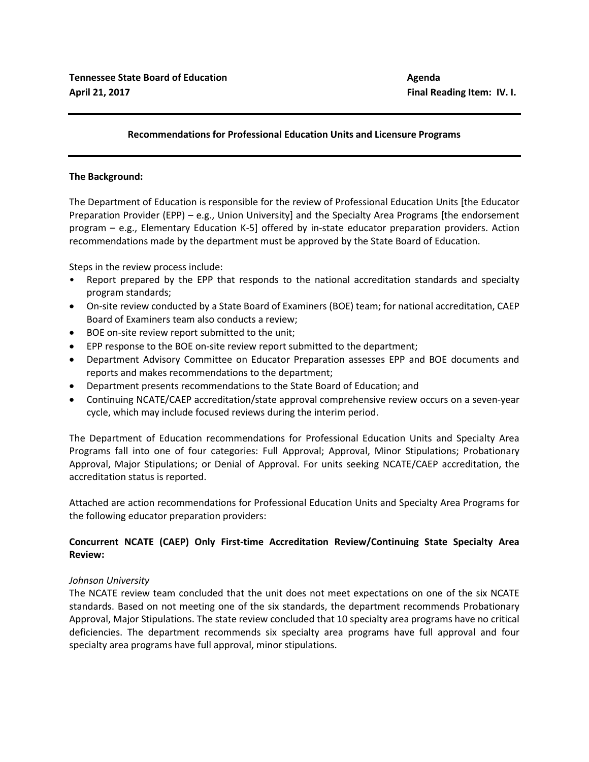# **Recommendations for Professional Education Units and Licensure Programs**

### **The Background:**

The Department of Education is responsible for the review of Professional Education Units [the Educator Preparation Provider (EPP) – e.g., Union University] and the Specialty Area Programs [the endorsement program – e.g., Elementary Education K-5] offered by in-state educator preparation providers. Action recommendations made by the department must be approved by the State Board of Education.

Steps in the review process include:

- Report prepared by the EPP that responds to the national accreditation standards and specialty program standards;
- On-site review conducted by a State Board of Examiners (BOE) team; for national accreditation, CAEP Board of Examiners team also conducts a review;
- BOE on-site review report submitted to the unit;
- EPP response to the BOE on-site review report submitted to the department;
- Department Advisory Committee on Educator Preparation assesses EPP and BOE documents and reports and makes recommendations to the department;
- Department presents recommendations to the State Board of Education; and
- Continuing NCATE/CAEP accreditation/state approval comprehensive review occurs on a seven-year cycle, which may include focused reviews during the interim period.

The Department of Education recommendations for Professional Education Units and Specialty Area Programs fall into one of four categories: Full Approval; Approval, Minor Stipulations; Probationary Approval, Major Stipulations; or Denial of Approval. For units seeking NCATE/CAEP accreditation, the accreditation status is reported.

Attached are action recommendations for Professional Education Units and Specialty Area Programs for the following educator preparation providers:

# **Concurrent NCATE (CAEP) Only First-time Accreditation Review/Continuing State Specialty Area Review:**

# *Johnson University*

The NCATE review team concluded that the unit does not meet expectations on one of the six NCATE standards. Based on not meeting one of the six standards, the department recommends Probationary Approval, Major Stipulations. The state review concluded that 10 specialty area programs have no critical deficiencies. The department recommends six specialty area programs have full approval and four specialty area programs have full approval, minor stipulations.